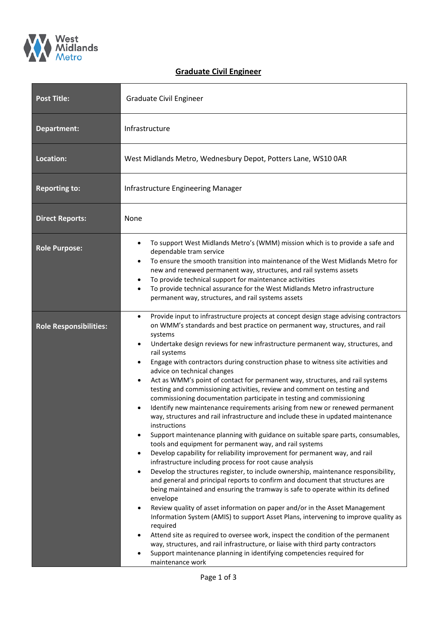

## **Graduate Civil Engineer**

| <b>Post Title:</b>            | Graduate Civil Engineer                                                                                                                                                                                                                                                                                                                                                                                                                                                                                                                                                                                                                                                                                                                                                                                                                                                                                                                                                                                                                                                                                                                                                                                                                                                                                                                                                                                                                                                                                                                                                                                                                                                                                                                                                                                                                                                                                                                                       |  |  |
|-------------------------------|---------------------------------------------------------------------------------------------------------------------------------------------------------------------------------------------------------------------------------------------------------------------------------------------------------------------------------------------------------------------------------------------------------------------------------------------------------------------------------------------------------------------------------------------------------------------------------------------------------------------------------------------------------------------------------------------------------------------------------------------------------------------------------------------------------------------------------------------------------------------------------------------------------------------------------------------------------------------------------------------------------------------------------------------------------------------------------------------------------------------------------------------------------------------------------------------------------------------------------------------------------------------------------------------------------------------------------------------------------------------------------------------------------------------------------------------------------------------------------------------------------------------------------------------------------------------------------------------------------------------------------------------------------------------------------------------------------------------------------------------------------------------------------------------------------------------------------------------------------------------------------------------------------------------------------------------------------------|--|--|
| Department:                   | Infrastructure                                                                                                                                                                                                                                                                                                                                                                                                                                                                                                                                                                                                                                                                                                                                                                                                                                                                                                                                                                                                                                                                                                                                                                                                                                                                                                                                                                                                                                                                                                                                                                                                                                                                                                                                                                                                                                                                                                                                                |  |  |
| Location:                     | West Midlands Metro, Wednesbury Depot, Potters Lane, WS10 0AR                                                                                                                                                                                                                                                                                                                                                                                                                                                                                                                                                                                                                                                                                                                                                                                                                                                                                                                                                                                                                                                                                                                                                                                                                                                                                                                                                                                                                                                                                                                                                                                                                                                                                                                                                                                                                                                                                                 |  |  |
| <b>Reporting to:</b>          | Infrastructure Engineering Manager                                                                                                                                                                                                                                                                                                                                                                                                                                                                                                                                                                                                                                                                                                                                                                                                                                                                                                                                                                                                                                                                                                                                                                                                                                                                                                                                                                                                                                                                                                                                                                                                                                                                                                                                                                                                                                                                                                                            |  |  |
| <b>Direct Reports:</b>        | None                                                                                                                                                                                                                                                                                                                                                                                                                                                                                                                                                                                                                                                                                                                                                                                                                                                                                                                                                                                                                                                                                                                                                                                                                                                                                                                                                                                                                                                                                                                                                                                                                                                                                                                                                                                                                                                                                                                                                          |  |  |
| <b>Role Purpose:</b>          | To support West Midlands Metro's (WMM) mission which is to provide a safe and<br>$\bullet$<br>dependable tram service<br>To ensure the smooth transition into maintenance of the West Midlands Metro for<br>$\bullet$<br>new and renewed permanent way, structures, and rail systems assets<br>To provide technical support for maintenance activities<br>$\bullet$<br>To provide technical assurance for the West Midlands Metro infrastructure<br>$\bullet$<br>permanent way, structures, and rail systems assets                                                                                                                                                                                                                                                                                                                                                                                                                                                                                                                                                                                                                                                                                                                                                                                                                                                                                                                                                                                                                                                                                                                                                                                                                                                                                                                                                                                                                                           |  |  |
| <b>Role Responsibilities:</b> | Provide input to infrastructure projects at concept design stage advising contractors<br>$\bullet$<br>on WMM's standards and best practice on permanent way, structures, and rail<br>systems<br>Undertake design reviews for new infrastructure permanent way, structures, and<br>٠<br>rail systems<br>Engage with contractors during construction phase to witness site activities and<br>$\bullet$<br>advice on technical changes<br>Act as WMM's point of contact for permanent way, structures, and rail systems<br>$\bullet$<br>testing and commissioning activities, review and comment on testing and<br>commissioning documentation participate in testing and commissioning<br>Identify new maintenance requirements arising from new or renewed permanent<br>way, structures and rail infrastructure and include these in updated maintenance<br>instructions<br>Support maintenance planning with guidance on suitable spare parts, consumables,<br>$\bullet$<br>tools and equipment for permanent way, and rail systems<br>Develop capability for reliability improvement for permanent way, and rail<br>$\bullet$<br>infrastructure including process for root cause analysis<br>Develop the structures register, to include ownership, maintenance responsibility,<br>$\bullet$<br>and general and principal reports to confirm and document that structures are<br>being maintained and ensuring the tramway is safe to operate within its defined<br>envelope<br>Review quality of asset information on paper and/or in the Asset Management<br>$\bullet$<br>Information System (AMIS) to support Asset Plans, intervening to improve quality as<br>required<br>Attend site as required to oversee work, inspect the condition of the permanent<br>$\bullet$<br>way, structures, and rail infrastructure, or liaise with third party contractors<br>Support maintenance planning in identifying competencies required for<br>maintenance work |  |  |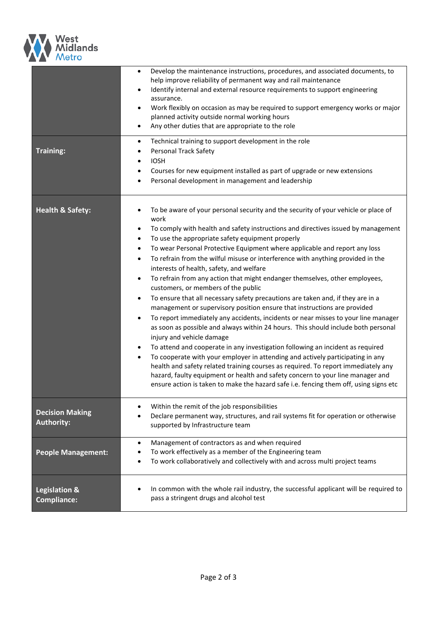

| <b>Training:</b>                               | Develop the maintenance instructions, procedures, and associated documents, to<br>$\bullet$<br>help improve reliability of permanent way and rail maintenance<br>Identify internal and external resource requirements to support engineering<br>$\bullet$<br>assurance.<br>Work flexibly on occasion as may be required to support emergency works or major<br>$\bullet$<br>planned activity outside normal working hours<br>Any other duties that are appropriate to the role<br>$\bullet$<br>Technical training to support development in the role<br>$\bullet$<br><b>Personal Track Safety</b><br>$\bullet$<br><b>IOSH</b><br>$\bullet$<br>Courses for new equipment installed as part of upgrade or new extensions<br>$\bullet$<br>Personal development in management and leadership<br>$\bullet$                                                                                                                                                                                                                                                                                                                                                                                                                                                                                                                                                                                                                                                                                                               |  |
|------------------------------------------------|---------------------------------------------------------------------------------------------------------------------------------------------------------------------------------------------------------------------------------------------------------------------------------------------------------------------------------------------------------------------------------------------------------------------------------------------------------------------------------------------------------------------------------------------------------------------------------------------------------------------------------------------------------------------------------------------------------------------------------------------------------------------------------------------------------------------------------------------------------------------------------------------------------------------------------------------------------------------------------------------------------------------------------------------------------------------------------------------------------------------------------------------------------------------------------------------------------------------------------------------------------------------------------------------------------------------------------------------------------------------------------------------------------------------------------------------------------------------------------------------------------------------|--|
| <b>Health &amp; Safety:</b>                    | To be aware of your personal security and the security of your vehicle or place of<br>$\bullet$<br>work<br>To comply with health and safety instructions and directives issued by management<br>$\bullet$<br>To use the appropriate safety equipment properly<br>$\bullet$<br>To wear Personal Protective Equipment where applicable and report any loss<br>$\bullet$<br>To refrain from the wilful misuse or interference with anything provided in the<br>$\bullet$<br>interests of health, safety, and welfare<br>To refrain from any action that might endanger themselves, other employees,<br>$\bullet$<br>customers, or members of the public<br>To ensure that all necessary safety precautions are taken and, if they are in a<br>$\bullet$<br>management or supervisory position ensure that instructions are provided<br>To report immediately any accidents, incidents or near misses to your line manager<br>$\bullet$<br>as soon as possible and always within 24 hours. This should include both personal<br>injury and vehicle damage<br>To attend and cooperate in any investigation following an incident as required<br>$\bullet$<br>To cooperate with your employer in attending and actively participating in any<br>$\bullet$<br>health and safety related training courses as required. To report immediately any<br>hazard, faulty equipment or health and safety concern to your line manager and<br>ensure action is taken to make the hazard safe i.e. fencing them off, using signs etc |  |
| <b>Decision Making</b><br><b>Authority:</b>    | Within the remit of the job responsibilities<br>Declare permanent way, structures, and rail systems fit for operation or otherwise<br>supported by Infrastructure team                                                                                                                                                                                                                                                                                                                                                                                                                                                                                                                                                                                                                                                                                                                                                                                                                                                                                                                                                                                                                                                                                                                                                                                                                                                                                                                                              |  |
| <b>People Management:</b>                      | Management of contractors as and when required<br>$\bullet$<br>To work effectively as a member of the Engineering team<br>To work collaboratively and collectively with and across multi project teams                                                                                                                                                                                                                                                                                                                                                                                                                                                                                                                                                                                                                                                                                                                                                                                                                                                                                                                                                                                                                                                                                                                                                                                                                                                                                                              |  |
| <b>Legislation &amp;</b><br><b>Compliance:</b> | In common with the whole rail industry, the successful applicant will be required to<br>pass a stringent drugs and alcohol test                                                                                                                                                                                                                                                                                                                                                                                                                                                                                                                                                                                                                                                                                                                                                                                                                                                                                                                                                                                                                                                                                                                                                                                                                                                                                                                                                                                     |  |